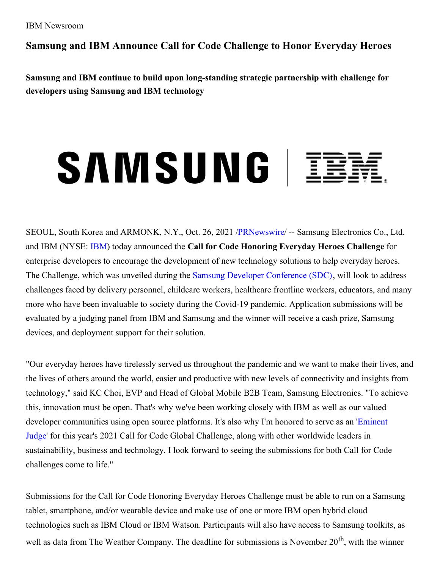**Samsung and IBM Announce Call for Code Challenge to Honor Everyday Heroes**

**Samsung and IBM continue to build upon long-standing strategic partnership with challenge for developers using Samsung and IBM technology**

## SAMSUNG | IBR



SEOUL, South Korea and ARMONK, N.Y., Oct. 26, 2021 [/PRNewswire](http://www.prnewswire.com/)/ -- Samsung Electronics Co., Ltd. and IBM (NYSE: [IBM](https://c212.net/c/link/?t=0&l=en&o=3334484-1&h=2424686429&u=http%3A%2F%2Fwww.ibm.com%2Finvestor&a=IBM)) today announced the **Call for Code Honoring Everyday Heroes Challenge** for enterprise developers to encourage the development of new technology solutions to help everyday heroes. The Challenge, which was unveiled during the Samsung Developer [Conference](https://c212.net/c/link/?t=0&l=en&o=3334484-1&h=1766292426&u=https%3A%2F%2Fwww.samsungdeveloperconference.com%2F&a=Samsung+Developer+Conference+(SDC)) (SDC), will look to address challenges faced by delivery personnel, childcare workers, healthcare frontline workers, educators, and many more who have been invaluable to society during the Covid-19 pandemic. Application submissions will be evaluated by a judging panel from IBM and Samsung and the winner will receive a cash prize, Samsung devices, and deployment support for their solution.

"Our everyday heroes have tirelessly served us throughout the pandemic and we want to make their lives, and the lives of others around the world, easier and productive with new levels of connectivity and insights from technology," said KC Choi, EVP and Head of Global Mobile B2B Team, Samsung Electronics. "To achieve this, innovation must be open. That's why we've been working closely with IBM as well as our valued developer [communities](https://c212.net/c/link/?t=0&l=en&o=3334484-1&h=3079371541&u=https%3A%2F%2Fcallforcode.org%2Fjudges%2F&a=Eminent+Judge) using open source platforms. It's also why I'm honored to serve as an 'Eminent Judge' for this year's 2021 Call for Code Global Challenge, along with other worldwide leaders in sustainability, business and technology. I look forward to seeing the submissions for both Call for Code challenges come to life."

Submissions for the Call for Code Honoring Everyday Heroes Challenge must be able to run on a Samsung tablet, smartphone, and/or wearable device and make use of one or more IBM open hybrid cloud technologies such as IBM Cloud or IBM Watson. Participants will also have access to Samsung toolkits, as well as data from The Weather Company. The deadline for submissions is November 20<sup>th</sup>, with the winner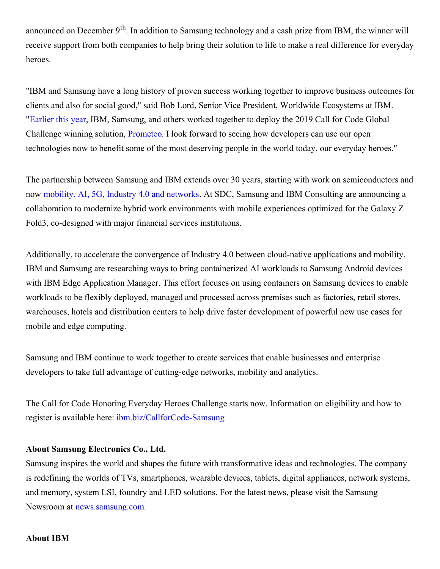announced on December 9<sup>th</sup>. In addition to Samsung technology and a cash prize from IBM, the winner will receive support from both companies to help bring their solution to life to make a real difference for everyday heroes.

"IBM and Samsung have a long history of proven success working together to improve business outcomes for clients and also for social good," said Bob Lord, Senior Vice President, Worldwide Ecosystems at IBM. "[Earlier](https://c212.net/c/link/?t=0&l=en&o=3334484-1&h=2180241480&u=https%3A%2F%2Fwww.linuxfoundation.org%2Fpress-release%2Fthe-linux-foundation-prometeo-ibm-and-partners-announce-new-firefighter-safety-open-source-project%2F&a=Earlier+this+year) this year, IBM, Samsung, and others worked together to deploy the 2019 Call for Code Global Challenge winning solution, [Prometeo](https://c212.net/c/link/?t=0&l=en&o=3334484-1&h=425132797&u=https%3A%2F%2Fdeveloper.ibm.com%2Fcallforcode%2Fsolutions%2Fprometeo%2F&a=Prometeo). I look forward to seeing how developers can use our open technologies now to benefit some of the most deserving people in the world today, our everyday heroes."

The partnership between Samsung and IBM extends over 30 years, starting with work on semiconductors and now [mobility,](https://c212.net/c/link/?t=0&l=en&o=3334484-1&h=3303751336&u=https%3A%2F%2Fnews.samsung.com%2Fglobal%2Fsamsung-and-ibm-plan-to-help-businesses-embrace-the-fourth-industrial-revolution&a=mobility%2C+AI%2C+5G%2C+Industry+4.0+and+networks) AI, 5G, Industry 4.0 and networks. At SDC, Samsung and IBM Consulting are announcing a collaboration to modernize hybrid work environments with mobile experiences optimized for the Galaxy Z Fold3, co-designed with major financial services institutions.

Additionally, to accelerate the convergence of Industry 4.0 between cloud-native applications and mobility, IBM and Samsung are researching ways to bring containerized AI workloads to Samsung Android devices with IBM Edge Application Manager. This effort focuses on using containers on Samsung devices to enable workloads to be flexibly deployed, managed and processed across premises such as factories, retail stores, warehouses, hotels and distribution centers to help drive faster development of powerful new use cases for mobile and edge computing.

Samsung and IBM continue to work together to create services that enable businesses and enterprise developers to take full advantage of cutting-edge networks, mobility and analytics.

The Call for Code Honoring Everyday Heroes Challenge starts now. Information on eligibility and how to register is available here: [ibm.biz/CallforCode-Samsung](https://c212.net/c/link/?t=0&l=en&o=3334484-1&h=3259746199&u=https%3A%2F%2Fibm.biz%2FCallforCode-Samsung&a=ibm.biz%2FCallforCode-Samsung)

## **About Samsung Electronics Co., Ltd.**

Samsung inspires the world and shapes the future with transformative ideas and technologies. The company is redefining the worlds of TVs, smartphones, wearable devices, tablets, digital appliances, network systems, and memory, system LSI, foundry and LED solutions. For the latest news, please visit the Samsung Newsroom at [news.samsung.com](https://c212.net/c/link/?t=0&l=en&o=3334484-1&h=2244802654&u=http%3A%2F%2Fnews.samsung.com%2F&a=news.samsung.com).

## **About IBM**